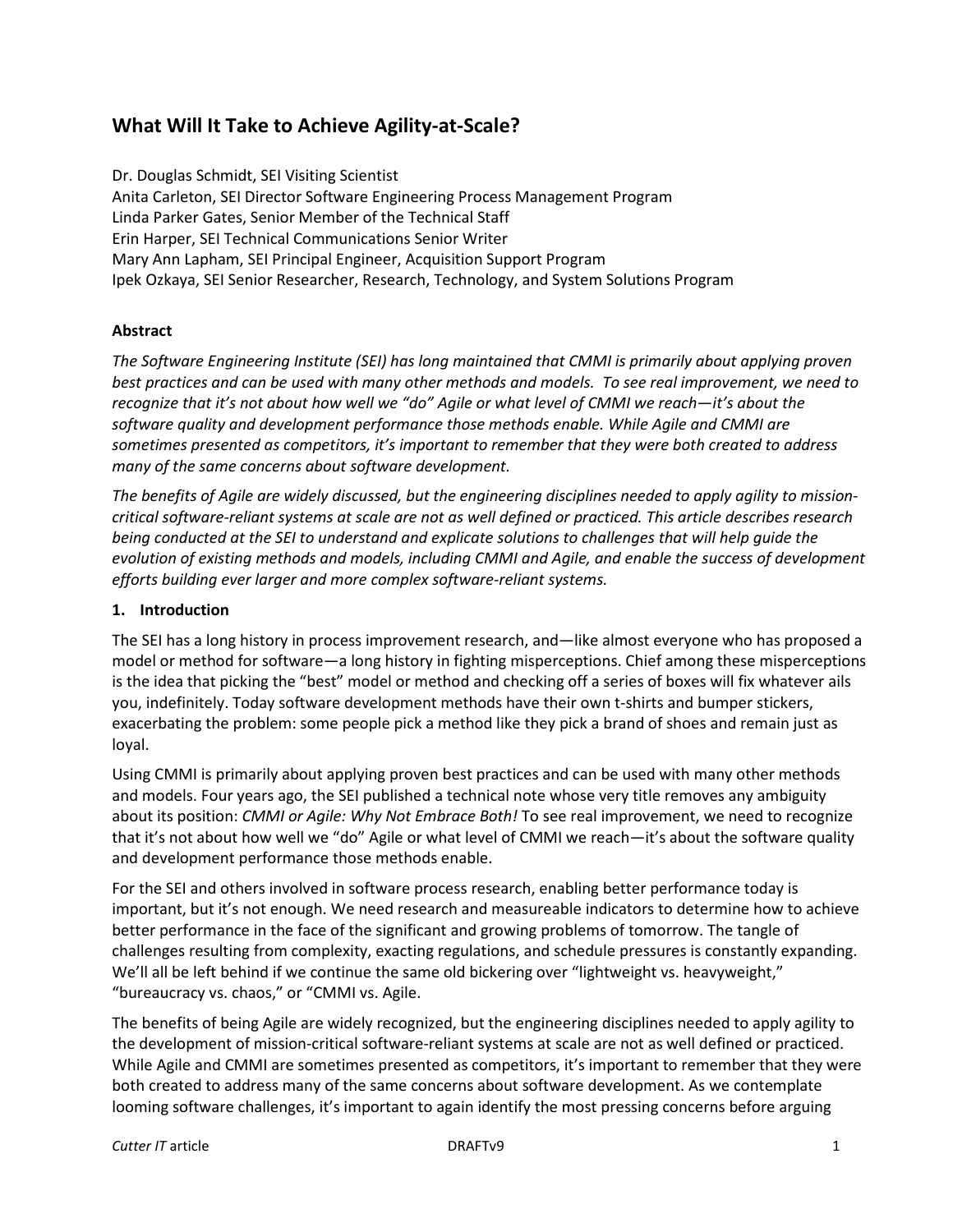# **What Will It Take to Achieve Agility-at-Scale?**

Dr. Douglas Schmidt, SEI Visiting Scientist Anita Carleton, SEI Director Software Engineering Process Management Program Linda Parker Gates, Senior Member of the Technical Staff Erin Harper, SEI Technical Communications Senior Writer Mary Ann Lapham, SEI Principal Engineer, Acquisition Support Program Ipek Ozkaya, SEI Senior Researcher, Research, Technology, and System Solutions Program

## **Abstract**

*The Software Engineering Institute (SEI) has long maintained that CMMI is primarily about applying proven best practices and can be used with many other methods and models. To see real improvement, we need to recognize that it's not about how well we "do" Agile or what level of CMMI we reach—it's about the software quality and development performance those methods enable. While Agile and CMMI are sometimes presented as competitors, it's important to remember that they were both created to address many of the same concerns about software development.* 

*The benefits of Agile are widely discussed, but the engineering disciplines needed to apply agility to missioncritical software-reliant systems at scale are not as well defined or practiced. This article describes research being conducted at the SEI to understand and explicate solutions to challenges that will help guide the evolution of existing methods and models, including CMMI and Agile, and enable the success of development efforts building ever larger and more complex software-reliant systems.*

#### **1. Introduction**

The SEI has a long history in process improvement research, and—like almost everyone who has proposed a model or method for software—a long history in fighting misperceptions. Chief among these misperceptions is the idea that picking the "best" model or method and checking off a series of boxes will fix whatever ails you, indefinitely. Today software development methods have their own t-shirts and bumper stickers, exacerbating the problem: some people pick a method like they pick a brand of shoes and remain just as loyal.

Using CMMI is primarily about applying proven best practices and can be used with many other methods and models. Four years ago, the SEI published a technical note whose very title removes any ambiguity about its position: *CMMI or Agile: Why Not Embrace Both!* To see real improvement, we need to recognize that it's not about how well we "do" Agile or what level of CMMI we reach—it's about the software quality and development performance those methods enable.

For the SEI and others involved in software process research, enabling better performance today is important, but it's not enough. We need research and measureable indicators to determine how to achieve better performance in the face of the significant and growing problems of tomorrow. The tangle of challenges resulting from complexity, exacting regulations, and schedule pressures is constantly expanding. We'll all be left behind if we continue the same old bickering over "lightweight vs. heavyweight," "bureaucracy vs. chaos," or "CMMI vs. Agile.

The benefits of being Agile are widely recognized, but the engineering disciplines needed to apply agility to the development of mission-critical software-reliant systems at scale are not as well defined or practiced. While Agile and CMMI are sometimes presented as competitors, it's important to remember that they were both created to address many of the same concerns about software development. As we contemplate looming software challenges, it's important to again identify the most pressing concerns before arguing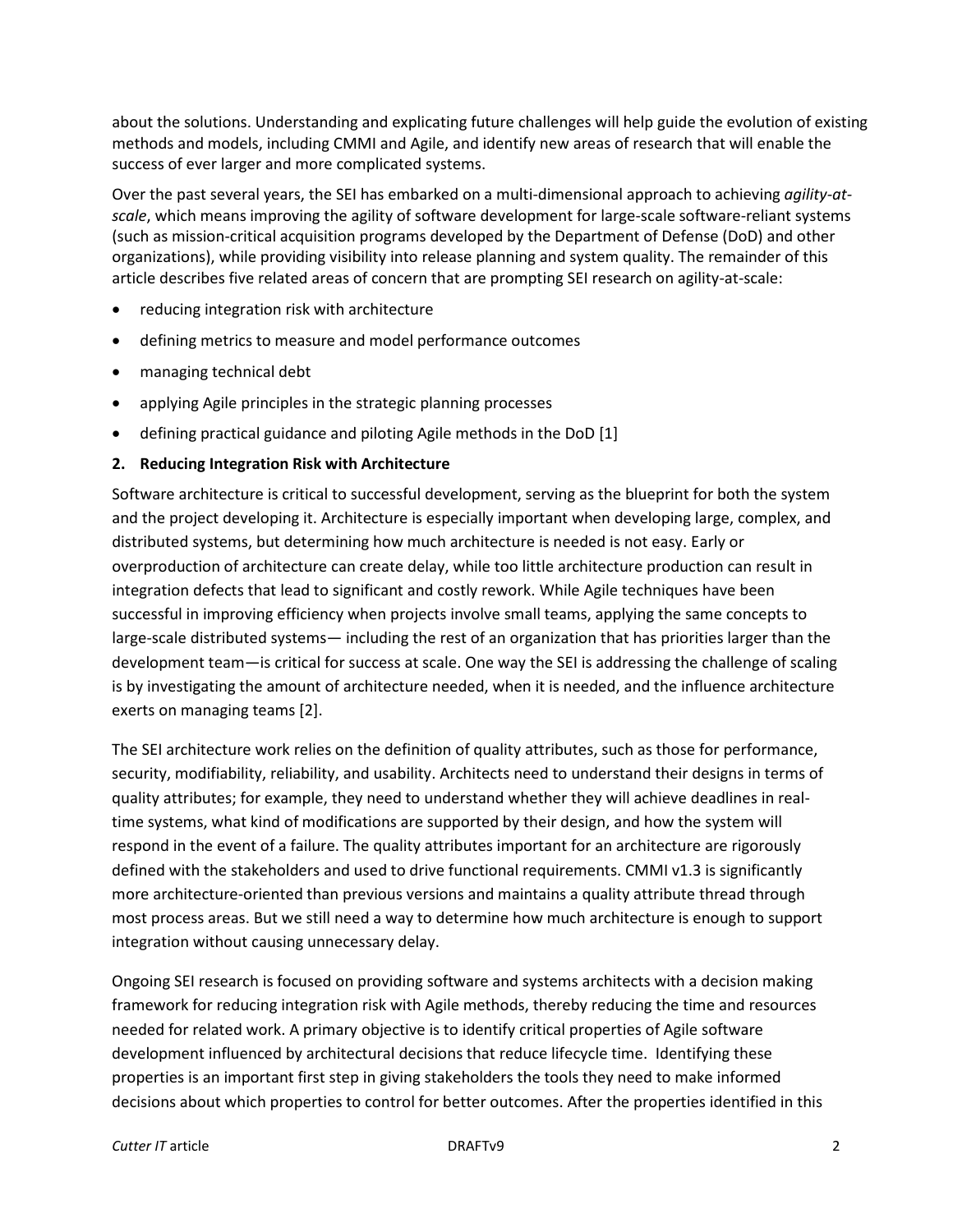about the solutions. Understanding and explicating future challenges will help guide the evolution of existing methods and models, including CMMI and Agile, and identify new areas of research that will enable the success of ever larger and more complicated systems.

Over the past several years, the SEI has embarked on a multi-dimensional approach to achieving *agility-atscale*, which means improving the agility of software development for large-scale software-reliant systems (such as mission-critical acquisition programs developed by the Department of Defense (DoD) and other organizations), while providing visibility into release planning and system quality. The remainder of this article describes five related areas of concern that are prompting SEI research on agility-at-scale:

- reducing integration risk with architecture
- defining metrics to measure and model performance outcomes
- managing technical debt
- applying Agile principles in the strategic planning processes
- defining practical guidance and piloting Agile methods in the DoD [1]

#### **2. Reducing Integration Risk with Architecture**

Software architecture is critical to successful development, serving as the blueprint for both the system and the project developing it. Architecture is especially important when developing large, complex, and distributed systems, but determining how much architecture is needed is not easy. Early or overproduction of architecture can create delay, while too little architecture production can result in integration defects that lead to significant and costly rework. While Agile techniques have been successful in improving efficiency when projects involve small teams, applying the same concepts to large-scale distributed systems— including the rest of an organization that has priorities larger than the development team—is critical for success at scale. One way the SEI is addressing the challenge of scaling is by investigating the amount of architecture needed, when it is needed, and the influence architecture exerts on managing teams [2].

The SEI architecture work relies on the definition of quality attributes, such as those for performance, security, modifiability, reliability, and usability. Architects need to understand their designs in terms of quality attributes; for example, they need to understand whether they will achieve deadlines in realtime systems, what kind of modifications are supported by their design, and how the system will respond in the event of a failure. The quality attributes important for an architecture are rigorously defined with the stakeholders and used to drive functional requirements. CMMI v1.3 is significantly more architecture-oriented than previous versions and maintains a quality attribute thread through most process areas. But we still need a way to determine how much architecture is enough to support integration without causing unnecessary delay.

Ongoing SEI research is focused on providing software and systems architects with a decision making framework for reducing integration risk with Agile methods, thereby reducing the time and resources needed for related work. A primary objective is to identify critical properties of Agile software development influenced by architectural decisions that reduce lifecycle time. Identifying these properties is an important first step in giving stakeholders the tools they need to make informed decisions about which properties to control for better outcomes. After the properties identified in this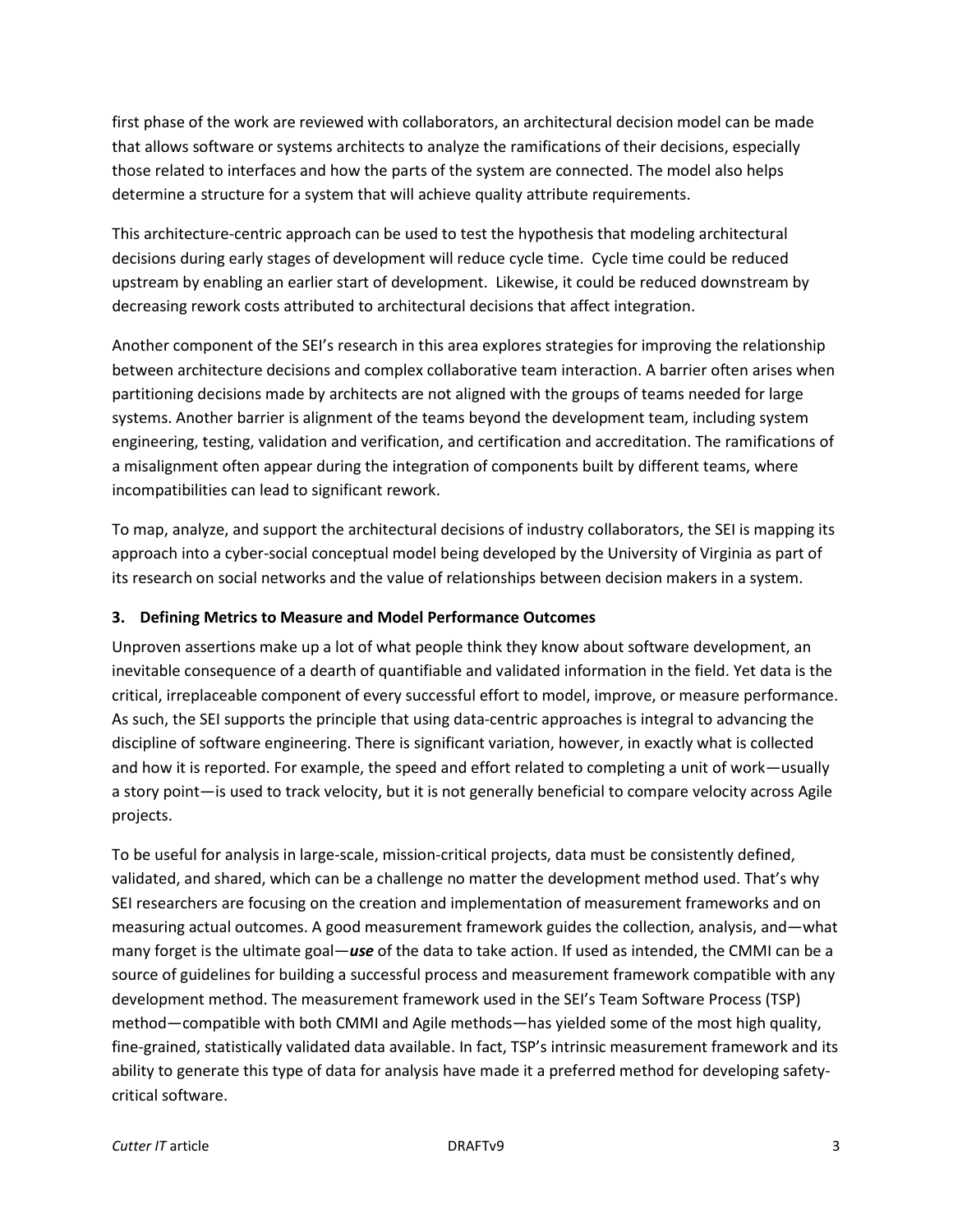first phase of the work are reviewed with collaborators, an architectural decision model can be made that allows software or systems architects to analyze the ramifications of their decisions, especially those related to interfaces and how the parts of the system are connected. The model also helps determine a structure for a system that will achieve quality attribute requirements.

This architecture-centric approach can be used to test the hypothesis that modeling architectural decisions during early stages of development will reduce cycle time. Cycle time could be reduced upstream by enabling an earlier start of development. Likewise, it could be reduced downstream by decreasing rework costs attributed to architectural decisions that affect integration.

Another component of the SEI's research in this area explores strategies for improving the relationship between architecture decisions and complex collaborative team interaction. A barrier often arises when partitioning decisions made by architects are not aligned with the groups of teams needed for large systems. Another barrier is alignment of the teams beyond the development team, including system engineering, testing, validation and verification, and certification and accreditation. The ramifications of a misalignment often appear during the integration of components built by different teams, where incompatibilities can lead to significant rework.

To map, analyze, and support the architectural decisions of industry collaborators, the SEI is mapping its approach into a cyber-social conceptual model being developed by the University of Virginia as part of its research on social networks and the value of relationships between decision makers in a system.

#### **3. Defining Metrics to Measure and Model Performance Outcomes**

Unproven assertions make up a lot of what people think they know about software development, an inevitable consequence of a dearth of quantifiable and validated information in the field. Yet data is the critical, irreplaceable component of every successful effort to model, improve, or measure performance. As such, the SEI supports the principle that using data-centric approaches is integral to advancing the discipline of software engineering. There is significant variation, however, in exactly what is collected and how it is reported. For example, the speed and effort related to completing a unit of work—usually a story point—is used to track velocity, but it is not generally beneficial to compare velocity across Agile projects.

To be useful for analysis in large-scale, mission-critical projects, data must be consistently defined, validated, and shared, which can be a challenge no matter the development method used. That's why SEI researchers are focusing on the creation and implementation of measurement frameworks and on measuring actual outcomes. A good measurement framework guides the collection, analysis, and—what many forget is the ultimate goal—*use* of the data to take action. If used as intended, the CMMI can be a source of guidelines for building a successful process and measurement framework compatible with any development method. The measurement framework used in the SEI's Team Software Process (TSP) method—compatible with both CMMI and Agile methods—has yielded some of the most high quality, fine-grained, statistically validated data available. In fact, TSP's intrinsic measurement framework and its ability to generate this type of data for analysis have made it a preferred method for developing safetycritical software.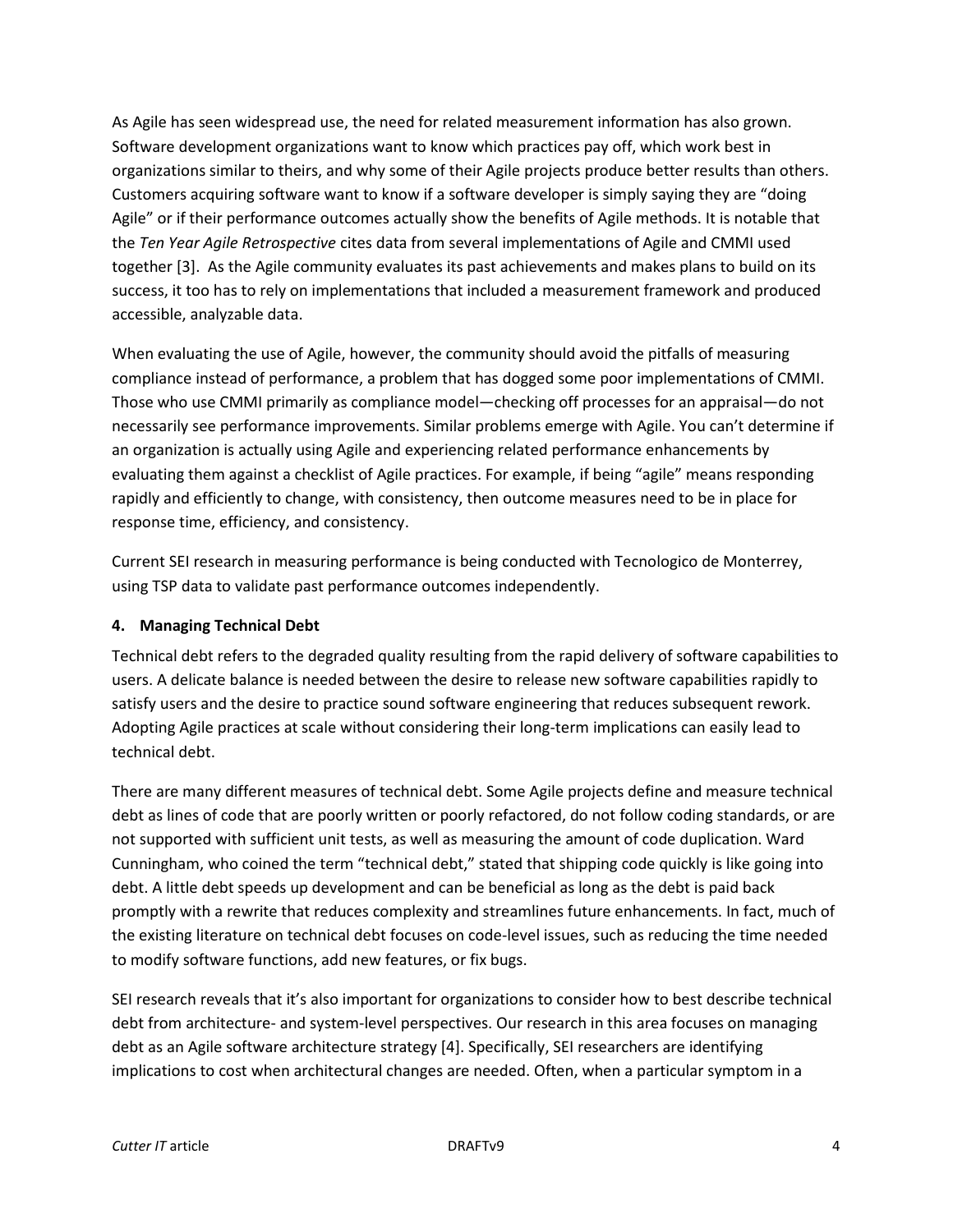As Agile has seen widespread use, the need for related measurement information has also grown. Software development organizations want to know which practices pay off, which work best in organizations similar to theirs, and why some of their Agile projects produce better results than others. Customers acquiring software want to know if a software developer is simply saying they are "doing Agile" or if their performance outcomes actually show the benefits of Agile methods. It is notable that the *Ten Year Agile Retrospective* cites data from several implementations of Agile and CMMI used together [3]. As the Agile community evaluates its past achievements and makes plans to build on its success, it too has to rely on implementations that included a measurement framework and produced accessible, analyzable data.

When evaluating the use of Agile, however, the community should avoid the pitfalls of measuring compliance instead of performance, a problem that has dogged some poor implementations of CMMI. Those who use CMMI primarily as compliance model—checking off processes for an appraisal—do not necessarily see performance improvements. Similar problems emerge with Agile. You can't determine if an organization is actually using Agile and experiencing related performance enhancements by evaluating them against a checklist of Agile practices. For example, if being "agile" means responding rapidly and efficiently to change, with consistency, then outcome measures need to be in place for response time, efficiency, and consistency.

Current SEI research in measuring performance is being conducted with Tecnologico de Monterrey, using TSP data to validate past performance outcomes independently.

## **4. Managing Technical Debt**

Technical debt refers to the degraded quality resulting from the rapid delivery of software capabilities to users. A delicate balance is needed between the desire to release new software capabilities rapidly to satisfy users and the desire to practice sound software engineering that reduces subsequent rework. Adopting Agile practices at scale without considering their long-term implications can easily lead to technical debt.

There are many different measures of technical debt. Some Agile projects define and measure technical debt as lines of code that are poorly written or poorly refactored, do not follow coding standards, or are not supported with sufficient unit tests, as well as measuring the amount of code duplication. Ward Cunningham, who coined the term "technical debt," stated that shipping code quickly is like going into debt. A little debt speeds up development and can be beneficial as long as the debt is paid back promptly with a rewrite that reduces complexity and streamlines future enhancements. In fact, much of the existing literature on technical debt focuses on code-level issues, such as reducing the time needed to modify software functions, add new features, or fix bugs.

SEI research reveals that it's also important for organizations to consider how to best describe technical debt from architecture- and system-level perspectives. Our research in this area focuses on managing debt as an Agile software architecture strategy [4]. Specifically, SEI researchers are identifying implications to cost when architectural changes are needed. Often, when a particular symptom in a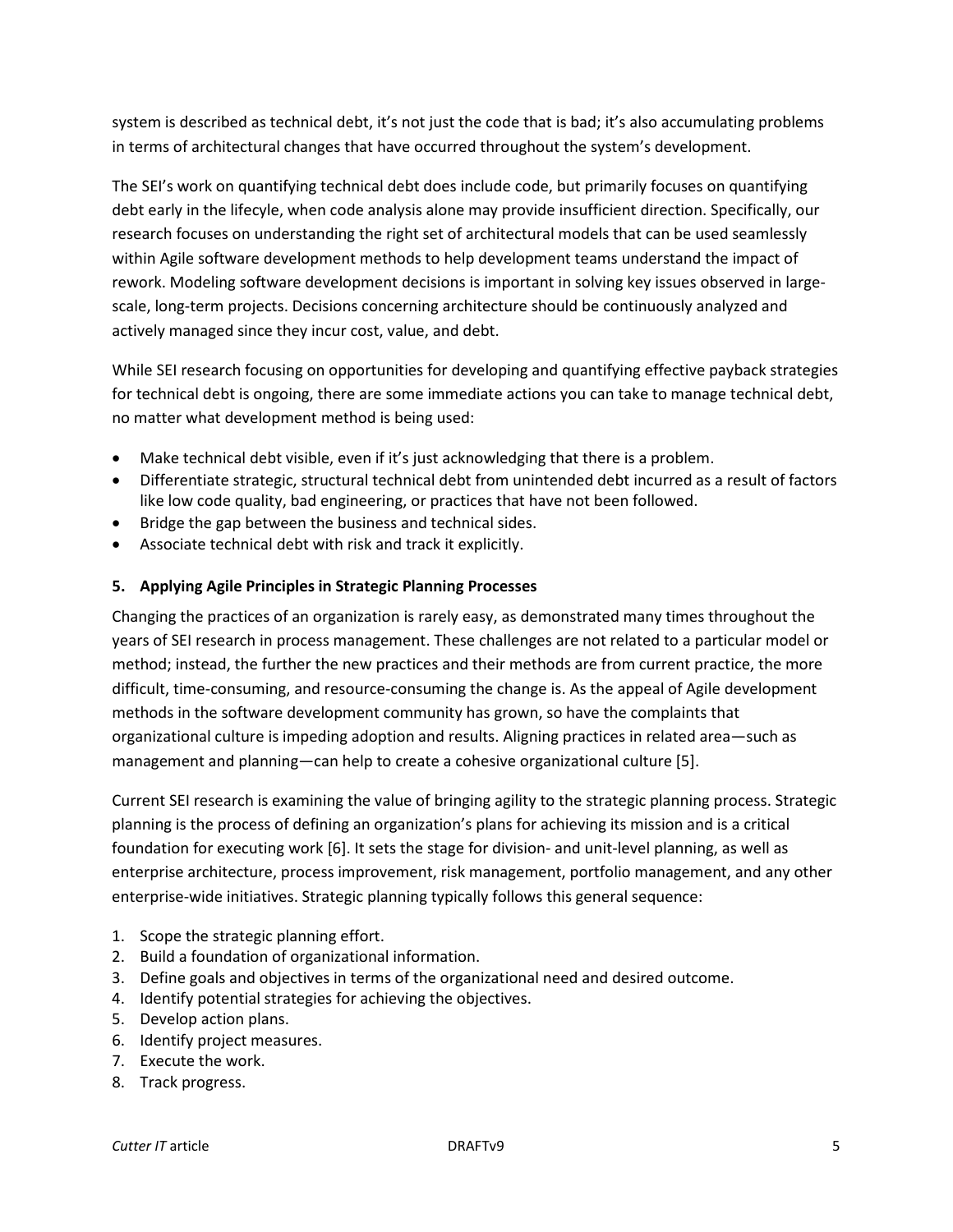system is described as technical debt, it's not just the code that is bad; it's also accumulating problems in terms of architectural changes that have occurred throughout the system's development.

The SEI's work on quantifying technical debt does include code, but primarily focuses on quantifying debt early in the lifecyle, when code analysis alone may provide insufficient direction. Specifically, our research focuses on understanding the right set of architectural models that can be used seamlessly within Agile software development methods to help development teams understand the impact of rework. Modeling software development decisions is important in solving key issues observed in largescale, long-term projects. Decisions concerning architecture should be continuously analyzed and actively managed since they incur cost, value, and debt.

While SEI research focusing on opportunities for developing and quantifying effective payback strategies for technical debt is ongoing, there are some immediate actions you can take to manage technical debt, no matter what development method is being used:

- Make technical debt visible, even if it's just acknowledging that there is a problem.
- Differentiate strategic, structural technical debt from unintended debt incurred as a result of factors like low code quality, bad engineering, or practices that have not been followed.
- Bridge the gap between the business and technical sides.
- Associate technical debt with risk and track it explicitly.

## **5. Applying Agile Principles in Strategic Planning Processes**

Changing the practices of an organization is rarely easy, as demonstrated many times throughout the years of SEI research in process management. These challenges are not related to a particular model or method; instead, the further the new practices and their methods are from current practice, the more difficult, time-consuming, and resource-consuming the change is. As the appeal of Agile development methods in the software development community has grown, so have the complaints that organizational culture is impeding adoption and results. Aligning practices in related area—such as management and planning—can help to create a cohesive organizational culture [5].

Current SEI research is examining the value of bringing agility to the strategic planning process. Strategic planning is the process of defining an organization's plans for achieving its mission and is a critical foundation for executing work [6]. It sets the stage for division- and unit-level planning, as well as enterprise architecture, process improvement, risk management, portfolio management, and any other enterprise-wide initiatives. Strategic planning typically follows this general sequence:

- 1. Scope the strategic planning effort.
- 2. Build a foundation of organizational information.
- 3. Define goals and objectives in terms of the organizational need and desired outcome.
- 4. Identify potential strategies for achieving the objectives.
- 5. Develop action plans.
- 6. Identify project measures.
- 7. Execute the work.
- 8. Track progress.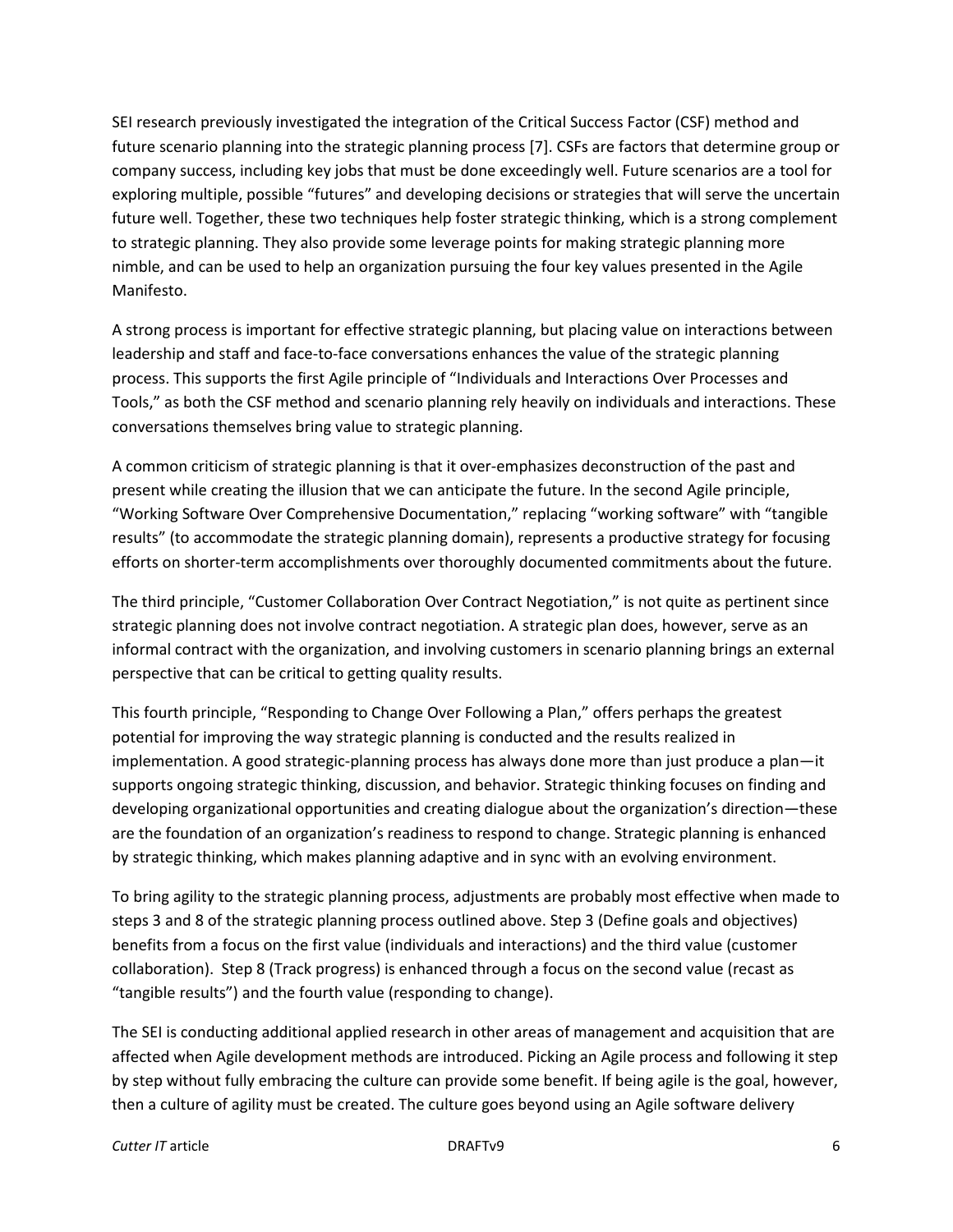SEI research previously investigated the integration of the Critical Success Factor (CSF) method and future scenario planning into the strategic planning process [7]. CSFs are factors that determine group or company success, including key jobs that must be done exceedingly well. Future scenarios are a tool for exploring multiple, possible "futures" and developing decisions or strategies that will serve the uncertain future well. Together, these two techniques help foster strategic thinking, which is a strong complement to strategic planning. They also provide some leverage points for making strategic planning more nimble, and can be used to help an organization pursuing the four key values presented in the Agile Manifesto.

A strong process is important for effective strategic planning, but placing value on interactions between leadership and staff and face-to-face conversations enhances the value of the strategic planning process. This supports the first Agile principle of "Individuals and Interactions Over Processes and Tools," as both the CSF method and scenario planning rely heavily on individuals and interactions. These conversations themselves bring value to strategic planning.

A common criticism of strategic planning is that it over-emphasizes deconstruction of the past and present while creating the illusion that we can anticipate the future. In the second Agile principle, "Working Software Over Comprehensive Documentation," replacing "working software" with "tangible results" (to accommodate the strategic planning domain), represents a productive strategy for focusing efforts on shorter-term accomplishments over thoroughly documented commitments about the future.

The third principle, "Customer Collaboration Over Contract Negotiation," is not quite as pertinent since strategic planning does not involve contract negotiation. A strategic plan does, however, serve as an informal contract with the organization, and involving customers in scenario planning brings an external perspective that can be critical to getting quality results.

This fourth principle, "Responding to Change Over Following a Plan," offers perhaps the greatest potential for improving the way strategic planning is conducted and the results realized in implementation. A good strategic-planning process has always done more than just produce a plan—it supports ongoing strategic thinking, discussion, and behavior. Strategic thinking focuses on finding and developing organizational opportunities and creating dialogue about the organization's direction—these are the foundation of an organization's readiness to respond to change. Strategic planning is enhanced by strategic thinking, which makes planning adaptive and in sync with an evolving environment.

To bring agility to the strategic planning process, adjustments are probably most effective when made to steps 3 and 8 of the strategic planning process outlined above. Step 3 (Define goals and objectives) benefits from a focus on the first value (individuals and interactions) and the third value (customer collaboration). Step 8 (Track progress) is enhanced through a focus on the second value (recast as "tangible results") and the fourth value (responding to change).

The SEI is conducting additional applied research in other areas of management and acquisition that are affected when Agile development methods are introduced. Picking an Agile process and following it step by step without fully embracing the culture can provide some benefit. If being agile is the goal, however, then a culture of agility must be created. The culture goes beyond using an Agile software delivery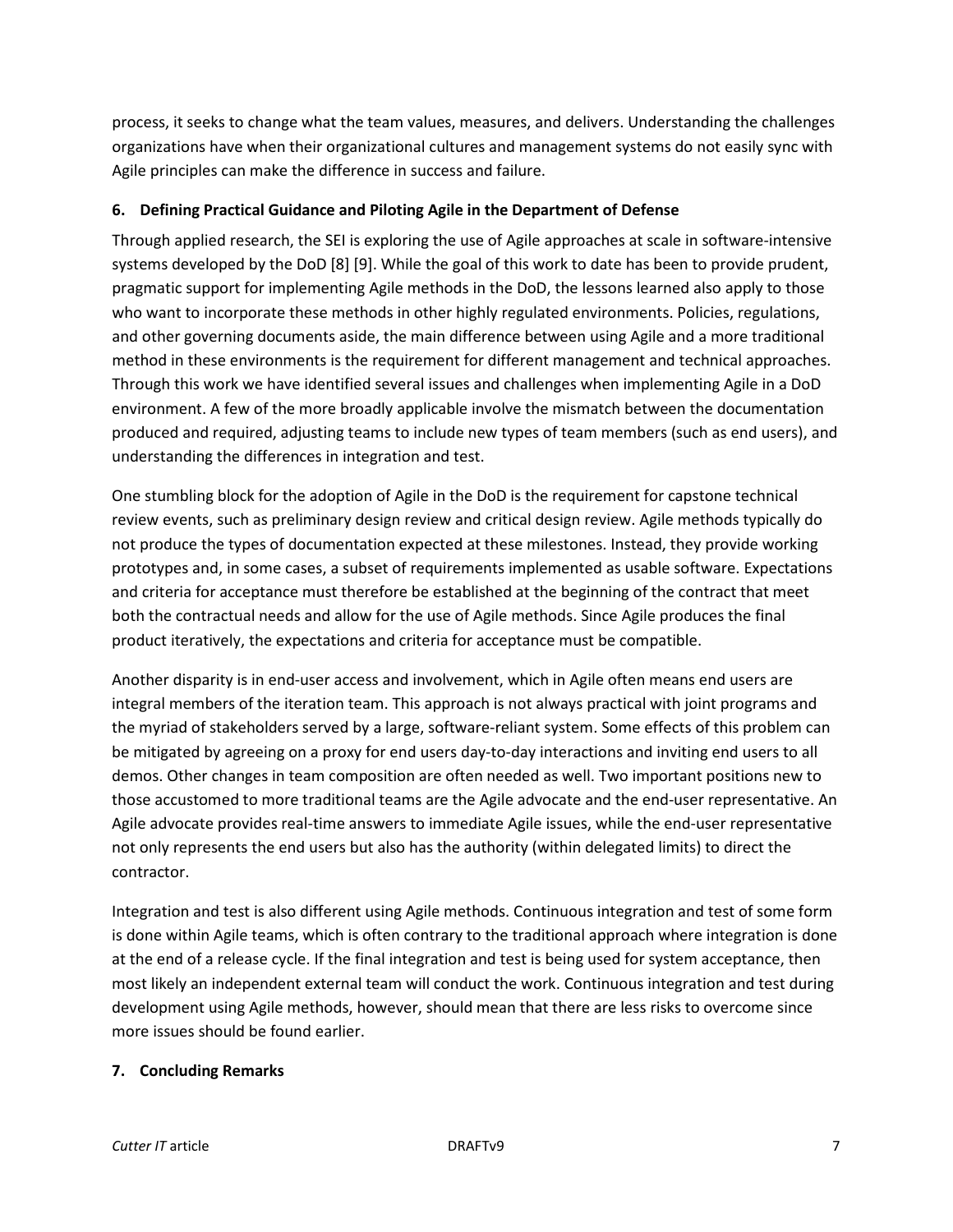process, it seeks to change what the team values, measures, and delivers. Understanding the challenges organizations have when their organizational cultures and management systems do not easily sync with Agile principles can make the difference in success and failure.

## **6. Defining Practical Guidance and Piloting Agile in the Department of Defense**

Through applied research, the SEI is exploring the use of Agile approaches at scale in software-intensive systems developed by the DoD [8] [9]. While the goal of this work to date has been to provide prudent, pragmatic support for implementing Agile methods in the DoD, the lessons learned also apply to those who want to incorporate these methods in other highly regulated environments. Policies, regulations, and other governing documents aside, the main difference between using Agile and a more traditional method in these environments is the requirement for different management and technical approaches. Through this work we have identified several issues and challenges when implementing Agile in a DoD environment. A few of the more broadly applicable involve the mismatch between the documentation produced and required, adjusting teams to include new types of team members (such as end users), and understanding the differences in integration and test.

One stumbling block for the adoption of Agile in the DoD is the requirement for capstone technical review events, such as preliminary design review and critical design review. Agile methods typically do not produce the types of documentation expected at these milestones. Instead, they provide working prototypes and, in some cases, a subset of requirements implemented as usable software. Expectations and criteria for acceptance must therefore be established at the beginning of the contract that meet both the contractual needs and allow for the use of Agile methods. Since Agile produces the final product iteratively, the expectations and criteria for acceptance must be compatible.

Another disparity is in end-user access and involvement, which in Agile often means end users are integral members of the iteration team. This approach is not always practical with joint programs and the myriad of stakeholders served by a large, software-reliant system. Some effects of this problem can be mitigated by agreeing on a proxy for end users day-to-day interactions and inviting end users to all demos. Other changes in team composition are often needed as well. Two important positions new to those accustomed to more traditional teams are the Agile advocate and the end-user representative. An Agile advocate provides real-time answers to immediate Agile issues, while the end-user representative not only represents the end users but also has the authority (within delegated limits) to direct the contractor.

Integration and test is also different using Agile methods. Continuous integration and test of some form is done within Agile teams, which is often contrary to the traditional approach where integration is done at the end of a release cycle. If the final integration and test is being used for system acceptance, then most likely an independent external team will conduct the work. Continuous integration and test during development using Agile methods, however, should mean that there are less risks to overcome since more issues should be found earlier.

#### **7. Concluding Remarks**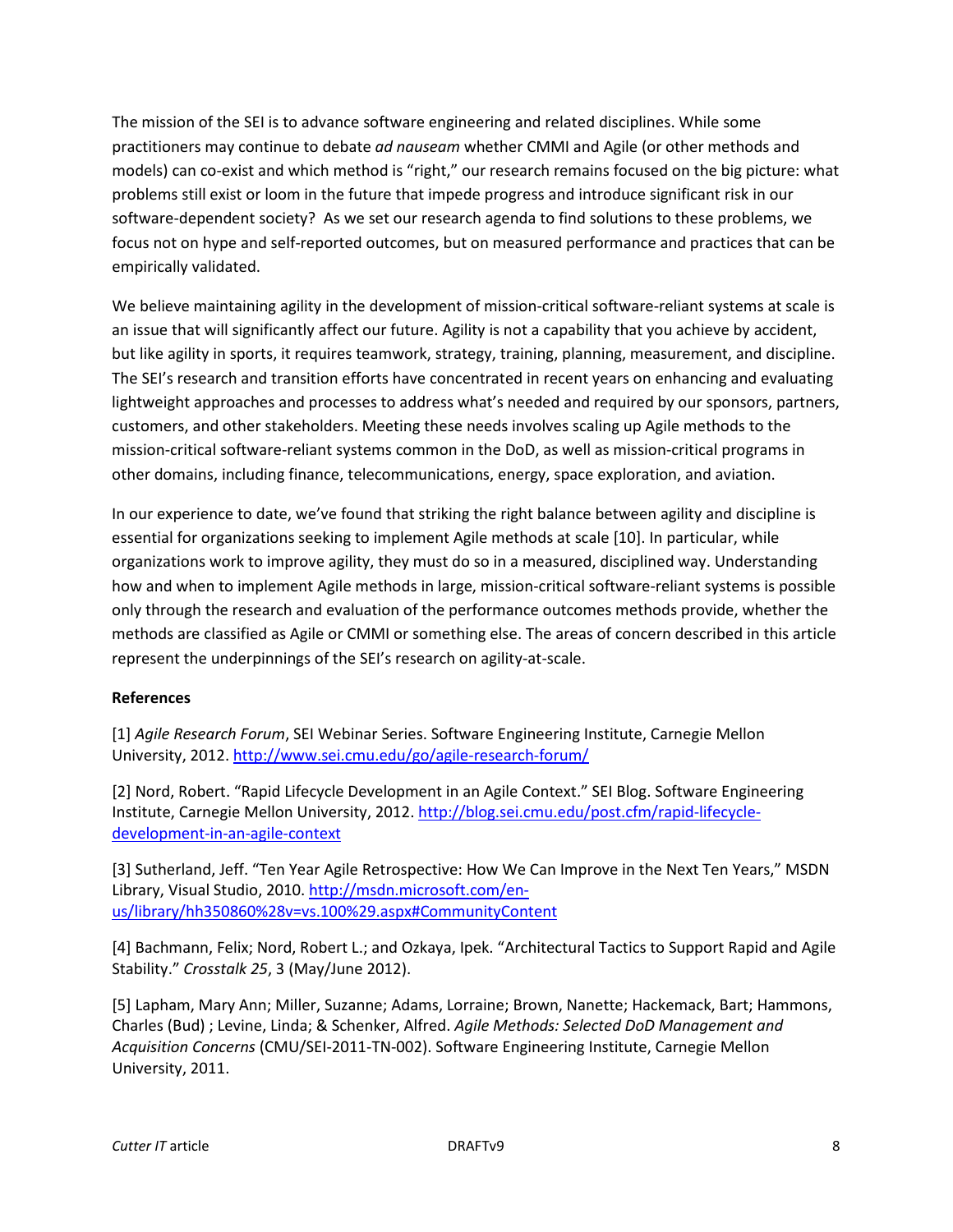The mission of the SEI is to advance software engineering and related disciplines. While some practitioners may continue to debate *ad nauseam* whether CMMI and Agile (or other methods and models) can co-exist and which method is "right," our research remains focused on the big picture: what problems still exist or loom in the future that impede progress and introduce significant risk in our software-dependent society? As we set our research agenda to find solutions to these problems, we focus not on hype and self-reported outcomes, but on measured performance and practices that can be empirically validated.

We believe maintaining agility in the development of mission-critical software-reliant systems at scale is an issue that will significantly affect our future. Agility is not a capability that you achieve by accident, but like agility in sports, it requires teamwork, strategy, training, planning, measurement, and discipline. The SEI's research and transition efforts have concentrated in recent years on enhancing and evaluating lightweight approaches and processes to address what's needed and required by our sponsors, partners, customers, and other stakeholders. Meeting these needs involves scaling up Agile methods to the mission-critical software-reliant systems common in the DoD, as well as mission-critical programs in other domains, including finance, telecommunications, energy, space exploration, and aviation.

In our experience to date, we've found that striking the right balance between agility and discipline is essential for organizations seeking to implement Agile methods at scale [10]. In particular, while organizations work to improve agility, they must do so in a measured, disciplined way. Understanding how and when to implement Agile methods in large, mission-critical software-reliant systems is possible only through the research and evaluation of the performance outcomes methods provide, whether the methods are classified as Agile or CMMI or something else. The areas of concern described in this article represent the underpinnings of the SEI's research on agility-at-scale.

## **References**

[1] *Agile Research Forum*, SEI Webinar Series. Software Engineering Institute, Carnegie Mellon University, 2012.<http://www.sei.cmu.edu/go/agile-research-forum/>

[2] Nord, Robert. "Rapid Lifecycle Development in an Agile Context." SEI Blog. Software Engineering Institute, Carnegie Mellon University, 2012[. http://blog.sei.cmu.edu/post.cfm/rapid-lifecycle](http://blog.sei.cmu.edu/post.cfm/rapid-lifecycle-development-in-an-agile-context)[development-in-an-agile-context](http://blog.sei.cmu.edu/post.cfm/rapid-lifecycle-development-in-an-agile-context)

[3] Sutherland, Jeff. "Ten Year Agile Retrospective: How We Can Improve in the Next Ten Years," MSDN Library, Visual Studio, 2010[. http://msdn.microsoft.com/en](http://msdn.microsoft.com/en-us/library/hh350860%28v=vs.100%29.aspx#CommunityContent)[us/library/hh350860%28v=vs.100%29.aspx#CommunityContent](http://msdn.microsoft.com/en-us/library/hh350860%28v=vs.100%29.aspx#CommunityContent)

[4] Bachmann, Felix; Nord, Robert L.; and Ozkaya, Ipek. "Architectural Tactics to Support Rapid and Agile Stability." *Crosstalk 25*, 3 (May/June 2012).

[5] Lapham, Mary Ann; Miller, Suzanne; Adams, Lorraine; Brown, Nanette; Hackemack, Bart; Hammons, Charles (Bud) ; Levine, Linda; & Schenker, Alfred. *Agile Methods: Selected DoD Management and Acquisition Concerns* (CMU/SEI-2011-TN-002). Software Engineering Institute, Carnegie Mellon University, 2011.